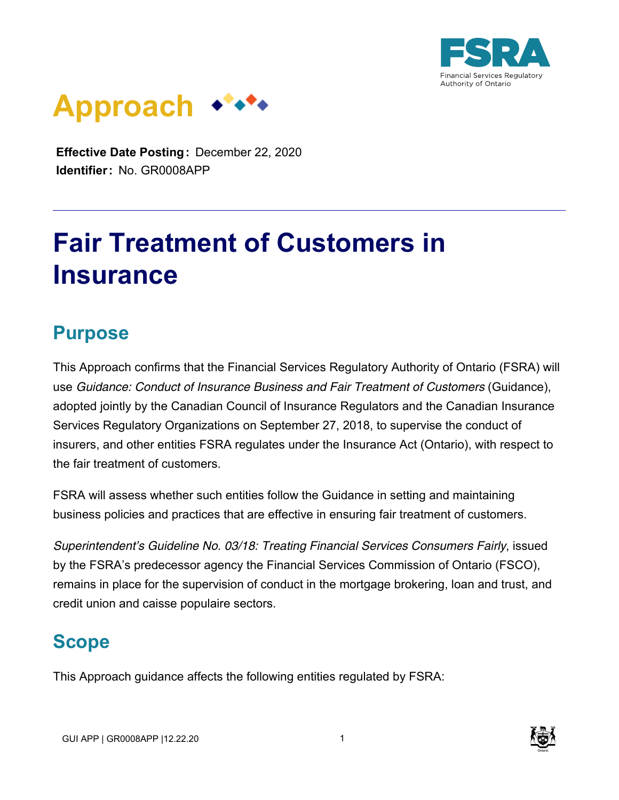



**Effective Date Posting:** December 22, 2020 **Identifier:** No. GR0008APP

# **Fair Treatment of Customers in Insurance**

### **Purpose**

This Approach confirms that the Financial Services Regulatory Authority of Ontario (FSRA) will use *Guidance: Conduct of Insurance Business and Fair Treatment of Customers* (Guidance), adopted jointly by the Canadian Council of Insurance Regulators and the Canadian Insurance Services Regulatory Organizations on September 27, 2018, to supervise the conduct of insurers, and other entities FSRA regulates under the Insurance Act (Ontario), with respect to the fair treatment of customers.

FSRA will assess whether such entities follow the Guidance in setting and maintaining business policies and practices that are effective in ensuring fair treatment of customers.

*Superintendent's Guideline No. 03/18: Treating Financial Services Consumers Fairly*, issued by the FSRA's predecessor agency the Financial Services Commission of Ontario (FSCO), remains in place for the supervision of conduct in the mortgage brokering, loan and trust, and credit union and caisse populaire sectors.

## **Scope**

This Approach guidance affects the following entities regulated by FSRA:

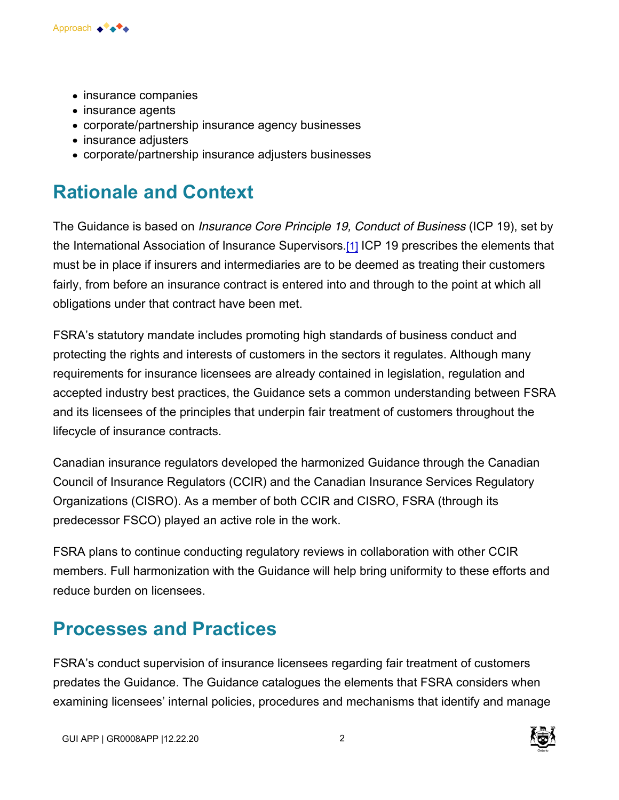

- insurance companies
- insurance agents
- corporate/partnership insurance agency businesses
- insurance adjusters
- corporate/partnership insurance adjusters businesses

#### **Rationale and Context**

The Guidance is based on *Insurance Core Principle 19, Conduct of Business* (ICP 19), set by the International Association of Insurance Supervisors.[1] ICP 19 prescribes the elements that must be in place if insurers and intermediaries are to be deemed as treating their customers fairly, from before an insurance contract is entered into and through to the point at which all obligations under that contract have been met.

FSRA's statutory mandate includes promoting high standards of business conduct and protecting the rights and interests of customers in the sectors it regulates. Although many requirements for insurance licensees are already contained in legislation, regulation and accepted industry best practices, the Guidance sets a common understanding between FSRA and its licensees of the principles that underpin fair treatment of customers throughout the lifecycle of insurance contracts.

Canadian insurance regulators developed the harmonized Guidance through the Canadian Council of Insurance Regulators (CCIR) and the Canadian Insurance Services Regulatory Organizations (CISRO). As a member of both CCIR and CISRO, FSRA (through its predecessor FSCO) played an active role in the work.

FSRA plans to continue conducting regulatory reviews in collaboration with other CCIR members. Full harmonization with the Guidance will help bring uniformity to these efforts and reduce burden on licensees.

#### **Processes and Practices**

FSRA's conduct supervision of insurance licensees regarding fair treatment of customers predates the Guidance. The Guidance catalogues the elements that FSRA considers when examining licensees' internal policies, procedures and mechanisms that identify and manage

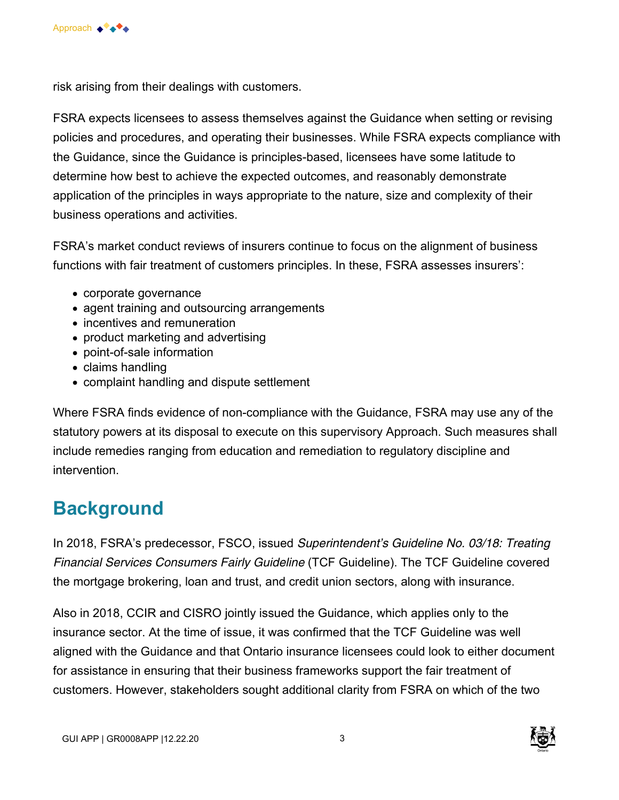

risk arising from their dealings with customers.

FSRA expects licensees to assess themselves against the Guidance when setting or revising policies and procedures, and operating their businesses. While FSRA expects compliance with the Guidance, since the Guidance is principles-based, licensees have some latitude to determine how best to achieve the expected outcomes, and reasonably demonstrate application of the principles in ways appropriate to the nature, size and complexity of their business operations and activities.

FSRA's market conduct reviews of insurers continue to focus on the alignment of business functions with fair treatment of customers principles. In these, FSRA assesses insurers':

- corporate governance
- agent training and outsourcing arrangements
- incentives and remuneration
- product marketing and advertising
- point-of-sale information
- claims handling
- complaint handling and dispute settlement

Where FSRA finds evidence of non-compliance with the Guidance, FSRA may use any of the statutory powers at its disposal to execute on this supervisory Approach. Such measures shall include remedies ranging from education and remediation to regulatory discipline and intervention.

## **Background**

In 2018, FSRA's predecessor, FSCO, issued *Superintendent's Guideline No. 03/18: Treating Financial Services Consumers Fairly Guideline* (TCF Guideline). The TCF Guideline covered the mortgage brokering, loan and trust, and credit union sectors, along with insurance.

Also in 2018, CCIR and CISRO jointly issued the Guidance, which applies only to the insurance sector. At the time of issue, it was confirmed that the TCF Guideline was well aligned with the Guidance and that Ontario insurance licensees could look to either document for assistance in ensuring that their business frameworks support the fair treatment of customers. However, stakeholders sought additional clarity from FSRA on which of the two

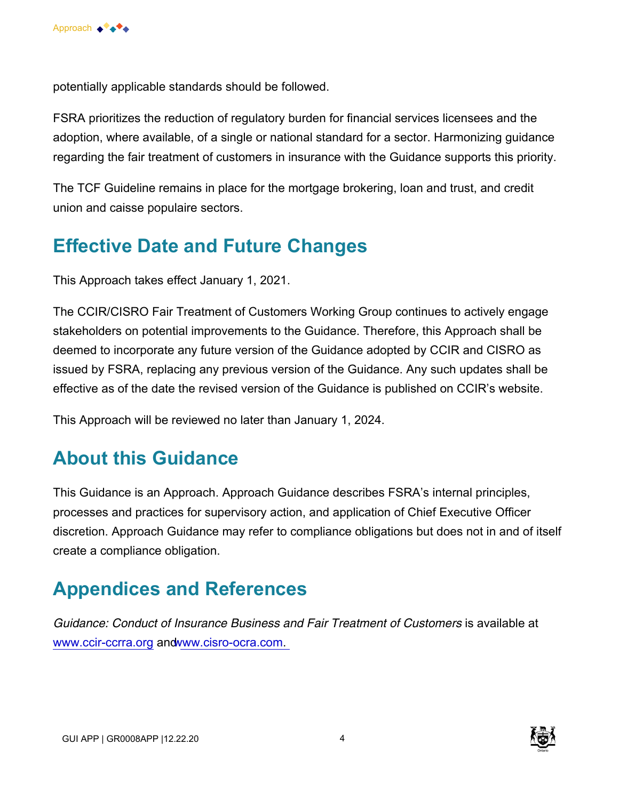

potentially applicable standards should be followed.

FSRA prioritizes the reduction of regulatory burden for financial services licensees and the adoption, where available, of a single or national standard for a sector. Harmonizing guidance regarding the fair treatment of customers in insurance with the Guidance supports this priority.

The TCF Guideline remains in place for the mortgage brokering, loan and trust, and credit union and caisse populaire sectors.

#### **Effective Date and Future Changes**

This Approach takes effect January 1, 2021.

The CCIR/CISRO Fair Treatment of Customers Working Group continues to actively engage stakeholders on potential improvements to the Guidance. Therefore, this Approach shall be deemed to incorporate any future version of the Guidance adopted by CCIR and CISRO as issued by FSRA, replacing any previous version of the Guidance. Any such updates shall be effective as of the date the revised version of the Guidance is published on CCIR's website.

This Approach will be reviewed no later than January 1, 2024.

#### **About this Guidance**

This Guidance is an Approach. Approach Guidance describes FSRA's internal principles, processes and practices for supervisory action, and application of Chief Executive Officer discretion. Approach Guidance may refer to compliance obligations but does not in and of itself create a compliance obligation.

#### **Appendices and References**

*Guidance: Conduct of Insurance Business and Fair Treatment of Customers* is available at [www.ccir-ccrra.org](http://www.ccir-ccrra.org/) and www.cisro-ocra.com.